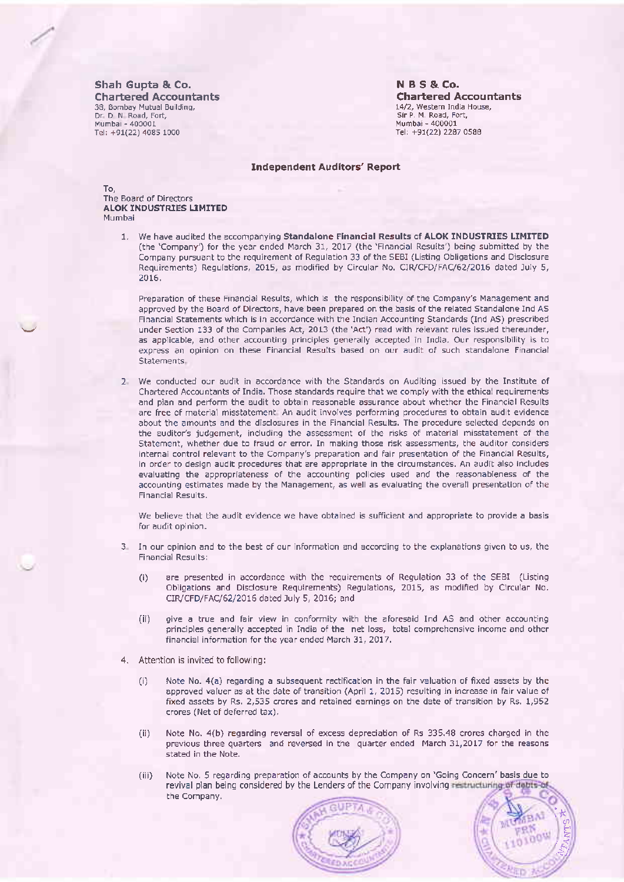Shah Gupta & Co. **Chartered Accountants** 38, Bombay Mutual Building, Dr. D N Road, Fort, Mumbai - 400001 Tel: +91(22) 4085 1000

**NBS&Co. Chartered Accountants** 14/2, Western India House, Sir P. M. Road, Fort, Mumbai - 400001 Tel: +91(22) 2287 0588

## **Independent Auditors' Report**

To. The Board of Directors **ALOK INDUSTRIES LIMITED** Mumbai

> 1. We have audited the accompanying Standalone Financial Results of ALOK INDUSTRIES LIMITED (the 'Company') for the year ended March 31, 2017 (the 'Financial Results') being submitted by the Company pursuant to the requirement of Regulation 33 of the SEBI (Listing Obligations and Disclosure Requirements) Regulations, 2015, as modified by Circular No. CIR/CFD/FAC/62/2016 dated July 5, 2016.

Preparation of these Financial Results, which is the responsibility of the Company's Management and approved by the Board of Directors, have been prepared on the basis of the related Standalone Ind AS Financial Statements which is in accordance with the Indian Accounting Standards (Ind AS) prescribed under Section 133 of the Companies Act, 2013 (the 'Act') read with relevant rules issued thereunder, as applicable, and other accounting principles generally accepted in India. Our responsibility is to express an opinion on these Financial Results based on our audit of such standalone Financial Statements.

2. We conducted our audit in accordance with the Standards on Auditing issued by the Institute of Chartered Accountants of India. Those standards require that we comply with the ethical requirements and plan and perform the audit to obtain reasonable assurance about whether the Financial Results are free of material misstatement. An audit involves performing procedures to obtain audit evidence about the amounts and the disclosures in the Financial Results. The procedure selected depends on the auditor's judgement, including the assessment of the risks of material misstatement of the Statement, whether due to fraud or error. In making those risk assessments, the auditor considers internal control relevant to the Company's preparation and fair presentation of the Financial Results, in order to design audit procedures that are appropriate in the circumstances. An audit also includes evaluating the appropriateness of the accounting policies used and the reasonableness of the accounting estimates made by the Management, as well as evaluating the overall presentation of the Financial Results.

We believe that the audit evidence we have obtained is sufficient and appropriate to provide a basis for audit opinion.

- 3. In our opinion and to the best of our information and according to the explanations given to us, the **Financial Results:** 
	- are presented in accordance with the requirements of Regulation 33 of the SEBI (Listing  $(i)$ Obligations and Disclosure Requirements) Regulations, 2015, as modified by Circular No. CIR/CFD/FAC/62/2016 dated July 5, 2016; and
	- give a true and fair view in conformity with the aforesaid Ind AS and other accounting  $(ii)$ principles generally accepted in India of the net loss, total comprehensive income and other financial information for the year ended March 31, 2017.
- 4. Attention is invited to following:
	- $(i)$ Note No. 4(a) regarding a subsequent rectification in the fair valuation of fixed assets by the approved valuer as at the date of transition (April 1, 2015) resulting in increase in fair value of fixed assets by Rs. 2,535 crores and retained earnings on the date of transition by Rs. 1,952 crores (Net of deferred tax).
	- Note No. 4(b) regarding reversal of excess depreciation of Rs 335.48 crores charged in the (ii) previous three quarters and reversed in the quarter ended March 31,2017 for the reasons stated in the Note.
	- Note No. 5 regarding preparation of accounts by the Company on 'Going Concern' basis due to  $(iii)$ revival plan being considered by the Lenders of the Company involving restructuring of debts of the Company.